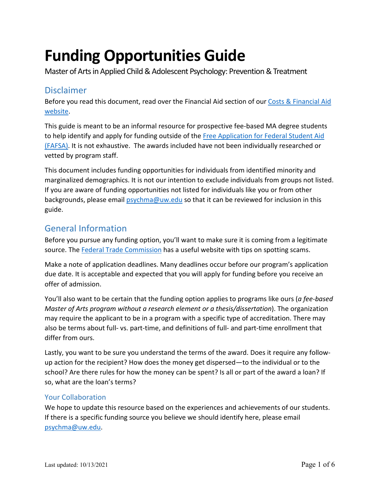# **Funding Opportunities Guide**

Master of Arts in Applied Child & Adolescent Psychology: Prevention & Treatment

# Disclaimer

Before you read this document, read over the Financial Aid section of our Costs & Financial Aid [website.](https://www.appliedchildpsych.uw.edu/costs-financial-aid/)

This guide is meant to be an informal resource for prospective fee-based MA degree students to help identify and apply for funding outside of the Free Application for Federal Student Aid [\(FAFSA\).](https://fafsa.ed.gov/) It is not exhaustive. The awards included have not been individually researched or vetted by program staff.

This document includes funding opportunities for individuals from identified minority and marginalized demographics. It is not our intention to exclude individuals from groups not listed. If you are aware of funding opportunities not listed for individuals like you or from other backgrounds, please email [psychma@uw.edu](mailto:psychma@uw.edu) so that it can be reviewed for inclusion in this guide.

# General Information

Before you pursue any funding option, you'll want to make sure it is coming from a legitimate source. The [Federal Trade Commission](https://www.consumer.ftc.gov/articles/0082-scholarship-and-financial-aid-scams) has a useful website with tips on spotting scams.

Make a note of application deadlines. Many deadlines occur before our program's application due date. It is acceptable and expected that you will apply for funding before you receive an offer of admission.

You'll also want to be certain that the funding option applies to programs like ours (*a fee-based Master of Arts program without a research element or a thesis/dissertation*). The organization may require the applicant to be in a program with a specific type of accreditation. There may also be terms about full- vs. part-time, and definitions of full- and part-time enrollment that differ from ours.

Lastly, you want to be sure you understand the terms of the award. Does it require any followup action for the recipient? How does the money get dispersed—to the individual or to the school? Are there rules for how the money can be spent? Is all or part of the award a loan? If so, what are the loan's terms?

# Your Collaboration

We hope to update this resource based on the experiences and achievements of our students. If there is a specific funding source you believe we should identify here, please email [psychma@uw.edu.](mailto:psychma@uw.edu)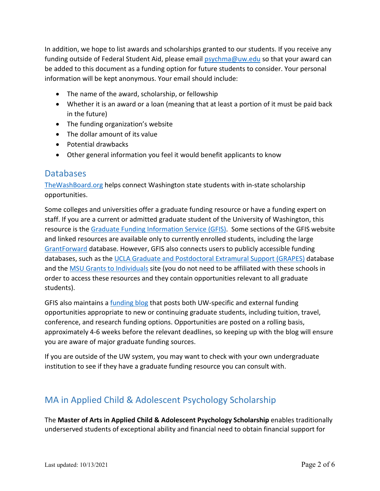In addition, we hope to list awards and scholarships granted to our students. If you receive any funding outside of Federal Student Aid, please email [psychma@uw.edu](mailto:psychma@uw.edu) so that your award can be added to this document as a funding option for future students to consider. Your personal information will be kept anonymous. Your email should include:

- The name of the award, scholarship, or fellowship
- Whether it is an award or a loan (meaning that at least a portion of it must be paid back in the future)
- The funding organization's website
- The dollar amount of its value
- Potential drawbacks
- Other general information you feel it would benefit applicants to know

# **Databases**

[TheWashBoard.org](https://fortress.wa.gov/wsac/thewashboard/login.aspx) helps connect Washington state students with in-state scholarship opportunities.

Some colleges and universities offer a graduate funding resource or have a funding expert on staff. If you are a current or admitted graduate student of the University of Washington, this resource is the [Graduate Funding Information Service \(GFIS\).](http://www.lib.washington.edu/commons/services/gfis) Some sections of the GFIS website and linked resources are available only to currently enrolled students, including the large [GrantForward](https://www.grantforward.com/index) database. However, GFIS also connects users to publicly accessible funding databases, such as the [UCLA Graduate and Postdoctoral Extramural Support \(GRAPES\)](http://grad.ucla.edu/funding/) database and the [MSU Grants to Individuals](http://staff.lib.msu.edu/harris23/grants/3subject.htm) site (you do not need to be affiliated with these schools in order to access these resources and they contain opportunities relevant to all graduate students).

GFIS also maintains [a funding blog](http://blogs.uw.edu/gfis/) that posts both UW-specific and external funding opportunities appropriate to new or continuing graduate students, including tuition, travel, conference, and research funding options. Opportunities are posted on a rolling basis, approximately 4-6 weeks before the relevant deadlines, so keeping up with the blog will ensure you are aware of major graduate funding sources.

If you are outside of the UW system, you may want to check with your own undergraduate institution to see if they have a graduate funding resource you can consult with.

# MA in Applied Child & Adolescent Psychology Scholarship

The **Master of Arts in Applied Child & Adolescent Psychology Scholarship** enables traditionally underserved students of exceptional ability and financial need to obtain financial support for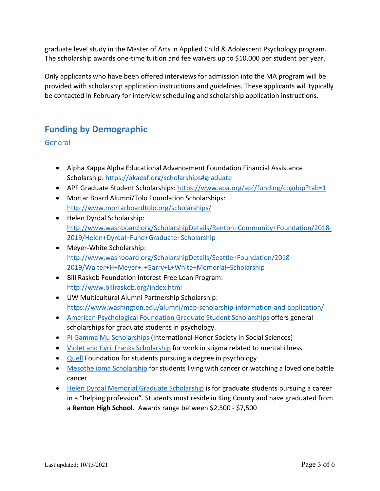graduate level study in the Master of Arts in Applied Child & Adolescent Psychology program. The scholarship awards one-time tuition and fee waivers up to \$10,000 per student per year.

Only applicants who have been offered interviews for admission into the MA program will be provided with scholarship application instructions and guidelines. These applicants will typically be contacted in February for interview scheduling and scholarship application instructions.

# **Funding by Demographic**

General

- Alpha Kappa Alpha Educational Advancement Foundation Financial Assistance Scholarship:<https://akaeaf.org/scholarships#graduate>
- APF Graduate Student Scholarships[: https://www.apa.org/apf/funding/cogdop?tab=1](https://www.apa.org/apf/funding/cogdop?tab=1)
- Mortar Board Alumni/Tolo Foundation Scholarships: <http://www.mortarboardtolo.org/scholarships/>
- Helen Dyrdal Scholarship: [http://www.washboard.org/ScholarshipDetails/Renton+Community+Foundation/2018-](http://www.washboard.org/ScholarshipDetails/Renton+Community+Foundation/2018-2019/Helen+Dyrdal+Fund+Graduate+Scholarship) [2019/Helen+Dyrdal+Fund+Graduate+Scholarship](http://www.washboard.org/ScholarshipDetails/Renton+Community+Foundation/2018-2019/Helen+Dyrdal+Fund+Graduate+Scholarship)
- Meyer-White Scholarship: [http://www.washboard.org/ScholarshipDetails/Seattle+Foundation/2018-](http://www.washboard.org/ScholarshipDetails/Seattle+Foundation/2018-2019/Walter+H+Meyer+-+Garry+L+White+Memorial+Scholarship) [2019/Walter+H+Meyer+-+Garry+L+White+Memorial+Scholarship](http://www.washboard.org/ScholarshipDetails/Seattle+Foundation/2018-2019/Walter+H+Meyer+-+Garry+L+White+Memorial+Scholarship)
- Bill Raskob Foundation Interest-Free Loan Program: <http://www.billraskob.org/index.html>
- UW Multicultural Alumni Partnership Scholarship: <https://www.washington.edu/alumni/map-scholarship-information-and-application/>
- [American Psychological Foundation Graduate Student Scholarships](https://www.apa.org/apf/funding/cogdop.aspx?tab=1) offers general scholarships for graduate students in psychology.
- [Pi Gamma Mu Scholarships](http://pigammamu.org/scholarships.html) (International Honor Society in Social Sciences)
- [Violet and Cyril Franks Scholarship](https://www.apa.org/apf/funding/franks.aspx?tab=1) for work in stigma related to mental illness
- [Quell](http://thequellfoundation.org/#shaping) Foundation for students pursuing a degree in psychology
- [Mesothelioma Scholarship](https://www.mesothelioma.com/scholarship/) for students living with cancer or watching a loved one battle cancer
- [Helen Dyrdal Memorial Graduate Scholarship](http://www.rentonfoundation.org/list-of-scholarships.html) is for graduate students pursuing a career in a "helping profession". Students must reside in King County and have graduated from a **Renton High School.** Awards range between \$2,500 - \$7,500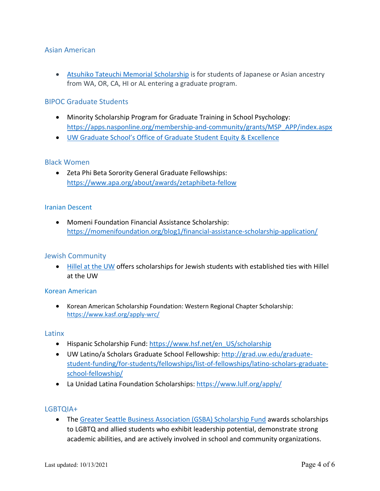### Asian American

• [Atsuhiko Tateuchi Memorial Scholarship](https://seattlefoundation.smapply.org/prog/2021_tateuchi_scholarship/) is for students of Japanese or Asian ancestry from WA, OR, CA, HI or AL entering a graduate program.

#### BIPOC Graduate Students

- Minority Scholarship Program for Graduate Training in School Psychology: [https://apps.nasponline.org/membership-and-community/grants/MSP\\_APP/index.aspx](https://apps.nasponline.org/membership-and-community/grants/MSP_APP/index.aspx)
- [UW Graduate School's Office of Graduate Student Equity & Excellence](https://grad.uw.edu/equity-inclusion-and-diversity/gsee/)

#### Black Women

• Zeta Phi Beta Sorority General Graduate Fellowships: <https://www.apa.org/about/awards/zetaphibeta-fellow>

#### Iranian Descent

• Momeni Foundation Financial Assistance Scholarship: <https://momenifoundation.org/blog1/financial-assistance-scholarship-application/>

#### Jewish Community

• [Hillel at the UW](https://www.hilleluw.org/scholarships-grants/) offers scholarships for Jewish students with established ties with Hillel at the UW

#### Korean American

• [Korean American Scholarship Foundation: Western Regional Chapter Scholarship](http://we.discover.uw.edu/NTI3LUFIUi0yNjUAAAF9KqmblmFNDYR3Eu1YHXRMJ9Fprn7h42jTXfMfc3sZSQqWFPxxA-Lli1G6YZl6a1KqJnS4Uoc=): <https://www.kasf.org/apply-wrc/>

#### Latinx

- Hispanic Scholarship Fund: [https://www.hsf.net/en\\_US/scholarship](https://www.hsf.net/en_US/scholarship)
- UW Latino/a Scholars Graduate School Fellowship: [http://grad.uw.edu/graduate](http://grad.uw.edu/graduate-student-funding/for-students/fellowships/list-of-fellowships/latino-scholars-graduate-school-fellowship/)[student-funding/for-students/fellowships/list-of-fellowships/latino-scholars-graduate](http://grad.uw.edu/graduate-student-funding/for-students/fellowships/list-of-fellowships/latino-scholars-graduate-school-fellowship/)[school-fellowship/](http://grad.uw.edu/graduate-student-funding/for-students/fellowships/list-of-fellowships/latino-scholars-graduate-school-fellowship/)
- La Unidad Latina Foundation Scholarships:<https://www.lulf.org/apply/>

#### LGBTQIA+

• The [Greater Seattle Business Association \(GSBA\) Scholarship Fund](http://www.thegsba.org/scholarship-home) awards scholarships to LGBTQ and allied students who exhibit leadership potential, demonstrate strong academic abilities, and are actively involved in school and community organizations.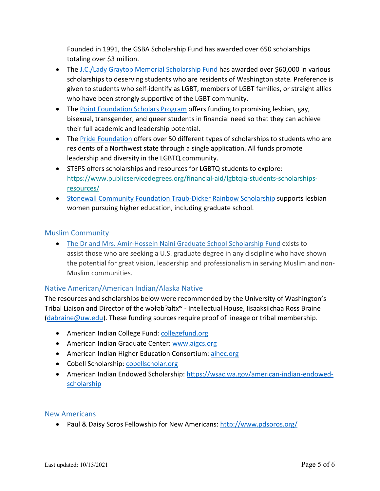Founded in 1991, the GSBA Scholarship Fund has awarded over 650 scholarships totaling over \$3 million.

- The [J.C./Lady Graytop Memorial Scholarship Fund](http://www.imperialcourtofseattle.org/scholarship) has awarded over \$60,000 in various scholarships to deserving students who are residents of Washington state. Preference is given to students who self-identify as LGBT, members of LGBT families, or straight allies who have been strongly supportive of the LGBT community.
- The [Point Foundation Scholars Program](https://www.pointfoundation.org/point-apply/apply-now/) offers funding to promising lesbian, gay, bisexual, transgender, and queer students in financial need so that they can achieve their full academic and leadership potential.
- The [Pride Foundation](https://www.pridefoundation.org/what-we-do/scholarships/) offers over 50 different types of scholarships to students who are residents of a Northwest state through a single application. All funds promote leadership and diversity in the LGBTQ community.
- STEPS offers scholarships and resources for LGBTQ students to explore: [https://www.publicservicedegrees.org/financial-aid/lgbtqia-students-scholarships](https://psych.us13.list-manage.com/track/click?u=45410c3ae45cdd1ca12bcd668&id=6bac37f655&e=5ced402f62)[resources/](https://psych.us13.list-manage.com/track/click?u=45410c3ae45cdd1ca12bcd668&id=6bac37f655&e=5ced402f62)
- [Stonewall Community Foundation Traub-Dicker Rainbow Scholarship](https://www.stonewallfoundation.org/scholarships/) supports lesbian women pursuing higher education, including graduate school.

# Muslim Community

• [The Dr and Mrs. Amir-Hossein Naini Graduate School Scholarship Fund](https://www.iman-wa.org/scholarship) exists to assist those who are seeking a U.S. graduate degree in any discipline who have shown the potential for great vision, leadership and professionalism in serving Muslim and non-Muslim communities.

# Native American/American Indian/Alaska Native

The resources and scholarships below were recommended by the University of Washington's Tribal Liaison and Director of the wǝłǝbʔaltx<sup>w</sup> - Intellectual House, Iisaaksiichaa Ross Braine  $(dabraine@uw.edu)$ . These funding sources require proof of lineage or tribal membership.

- American Indian College Fund: [collegefund.org](http://collegefund.org/)
- American Indian Graduate Center: [www.aigcs.org](http://www.aigcs.org/)
- American Indian Higher Education Consortium[: aihec.org](http://aihec.org/)
- Cobell Scholarship: [cobellscholar.org](http://cobellscholar.org/)
- American Indian Endowed Scholarship: [https://wsac.wa.gov/american-indian-endowed](https://wsac.wa.gov/american-indian-endowed-scholarship)[scholarship](https://wsac.wa.gov/american-indian-endowed-scholarship)

#### New Americans

• Paul & Daisy Soros Fellowship for New Americans:<http://www.pdsoros.org/>